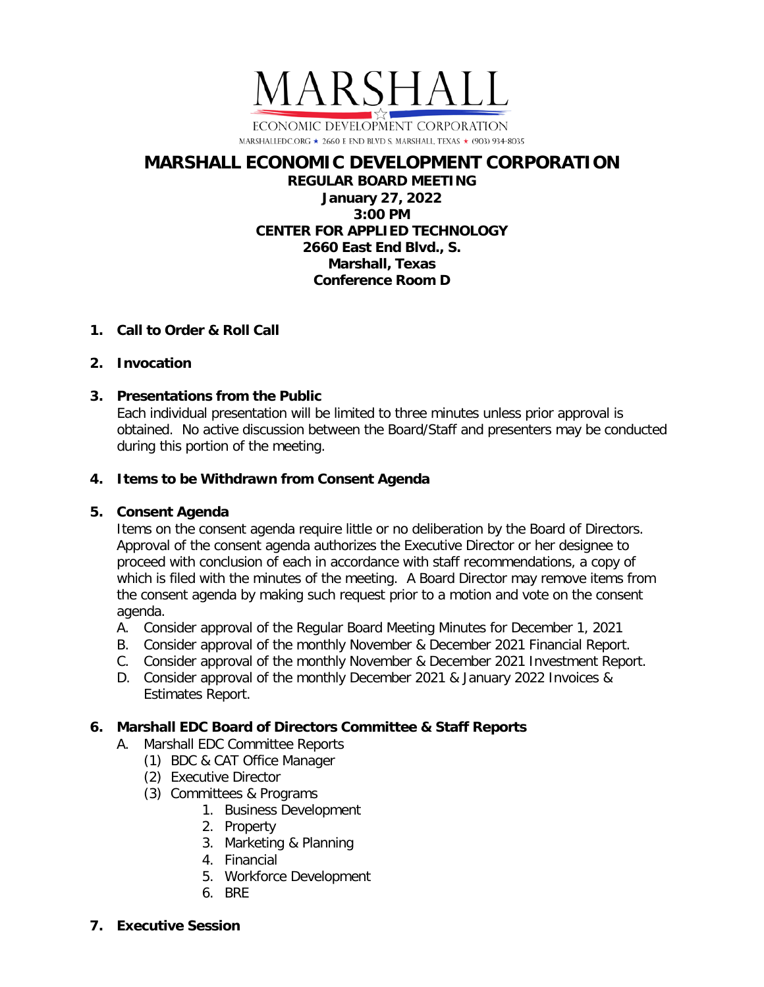

## **MARSHALL ECONOMIC DEVELOPMENT CORPORATION REGULAR BOARD MEETING January 27, 2022 3:00 PM CENTER FOR APPLIED TECHNOLOGY 2660 East End Blvd., S. Marshall, Texas Conference Room D**

# **1. Call to Order & Roll Call**

# **2. Invocation**

# **3. Presentations from the Public**

Each individual presentation will be limited to three minutes unless prior approval is obtained. No active discussion between the Board/Staff and presenters may be conducted during this portion of the meeting.

# **4. Items to be Withdrawn from Consent Agenda**

# **5. Consent Agenda**

Items on the consent agenda require little or no deliberation by the Board of Directors. Approval of the consent agenda authorizes the Executive Director or her designee to proceed with conclusion of each in accordance with staff recommendations, a copy of which is filed with the minutes of the meeting. A Board Director may remove items from the consent agenda by making such request prior to a motion and vote on the consent agenda.

- A. Consider approval of the Regular Board Meeting Minutes for December 1, 2021
- B. Consider approval of the monthly November & December 2021 Financial Report.
- C. Consider approval of the monthly November & December 2021 Investment Report.
- D. Consider approval of the monthly December 2021 & January 2022 Invoices & Estimates Report.

# **6. Marshall EDC Board of Directors Committee & Staff Reports**

- A. Marshall EDC Committee Reports
	- (1) BDC & CAT Office Manager
	- (2) Executive Director
	- (3) Committees & Programs
		- 1. Business Development
		- 2. Property
		- 3. Marketing & Planning
		- 4. Financial
		- 5. Workforce Development
		- 6. BRE
- **7. Executive Session**